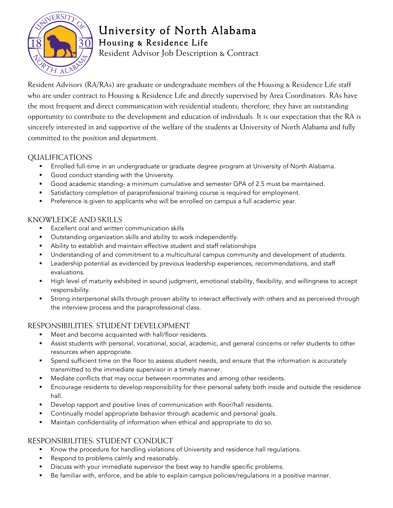

# University of North Alabama Housing & Residence Life

Resident Advisor Job Description & Contract

Resident Advisors (RA/RAs) are graduate or undergraduate members of the Housing & Residence Life staff who are under contract to Housing & Residence Life and directly supervised by Area Coordinators. RAs have the most frequent and direct communication with residential students; therefore, they have an outstanding opportunity to contribute to the development and education of individuals. It is our expectation that the RA is sincerely interested in and supportive of the welfare of the students at University of North Alabama and fully committed to the position and department.

### QUALIFICATIONS

- Enrolled full-time in an undergraduate or graduate degree program at University of North Alabama.
- Good conduct standing with the University.
- § Good academic standing- a minimum cumulative and semester GPA of 2.5 must be maintained.
- **•** Satisfactory completion of paraprofessional training course is required for employment.
- **•** Preference is given to applicants who will be enrolled on campus a full academic year.

#### KNOWLEDGE AND SKILLS

- Excellent oral and written communication skills
- Outstanding organization skills and ability to work independently.
- **•** Ability to establish and maintain effective student and staff relationships
- § Understanding of and commitment to a multicultural campus community and development of students.
- **■** Leadership potential as evidenced by previous leadership experiences, recommendations, and staff evaluations.
- § High level of maturity exhibited in sound judgment, emotional stability, flexibility, and willingness to accept responsibility.
- § Strong interpersonal skills through proven ability to interact effectively with others and as perceived through the interview process and the paraprofessional class.

# RESPONSIBILITIES: STUDENT DEVELOPMENT

- Meet and become acquainted with hall/floor residents.
- Assist students with personal, vocational, social, academic, and general concerns or refer students to other resources when appropriate.
- § Spend sufficient time on the floor to assess student needs, and ensure that the information is accurately transmitted to the immediate supervisor in a timely manner.
- Mediate conflicts that may occur between roommates and among other residents.
- § Encourage residents to develop responsibility for their personal safety both inside and outside the residence hall.
- **•** Develop rapport and positive lines of communication with floor/hall residents.
- Continually model appropriate behavior through academic and personal goals.
- **•** Maintain confidentiality of information when ethical and appropriate to do so.

# RESPONSIBILITIES: STUDENT CONDUCT

- § Know the procedure for handling violations of University and residence hall regulations.
- Respond to problems calmly and reasonably.
- **•** Discuss with your immediate supervisor the best way to handle specific problems.
- Be familiar with, enforce, and be able to explain campus policies/regulations in a positive manner.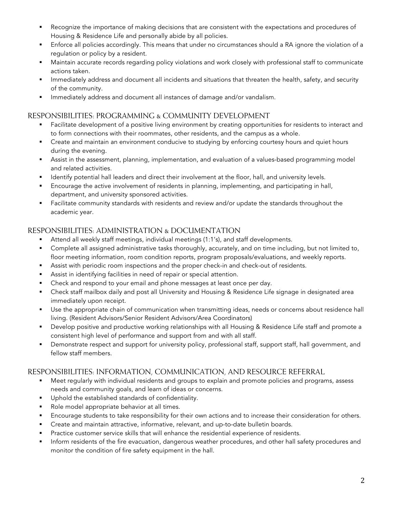- § Recognize the importance of making decisions that are consistent with the expectations and procedures of Housing & Residence Life and personally abide by all policies.
- § Enforce all policies accordingly. This means that under no circumstances should a RA ignore the violation of a regulation or policy by a resident.
- Maintain accurate records regarding policy violations and work closely with professional staff to communicate actions taken.
- Immediately address and document all incidents and situations that threaten the health, safety, and security of the community.
- **•** Immediately address and document all instances of damage and/or vandalism.

#### RESPONSIBILITIES: PROGRAMMING & COMMUNITY DEVELOPMENT

- **•** Facilitate development of a positive living environment by creating opportunities for residents to interact and to form connections with their roommates, other residents, and the campus as a whole.
- Create and maintain an environment conducive to studying by enforcing courtesy hours and quiet hours during the evening.
- § Assist in the assessment, planning, implementation, and evaluation of a values-based programming model and related activities.
- **•** Identify potential hall leaders and direct their involvement at the floor, hall, and university levels.
- Encourage the active involvement of residents in planning, implementing, and participating in hall, department, and university sponsored activities.
- **•** Facilitate community standards with residents and review and/or update the standards throughout the academic year.

#### RESPONSIBILITIES: ADMINISTRATION & DOCUMENTATION

- § Attend all weekly staff meetings, individual meetings (1:1's), and staff developments.
- § Complete all assigned administrative tasks thoroughly, accurately, and on time including, but not limited to, floor meeting information, room condition reports, program proposals/evaluations, and weekly reports.
- **•** Assist with periodic room inspections and the proper check-in and check-out of residents.
- Assist in identifying facilities in need of repair or special attention.
- Check and respond to your email and phone messages at least once per day.
- § Check staff mailbox daily and post all University and Housing & Residence Life signage in designated area immediately upon receipt.
- Use the appropriate chain of communication when transmitting ideas, needs or concerns about residence hall living. (Resident Advisors/Senior Resident Advisors/Area Coordinators)
- § Develop positive and productive working relationships with all Housing & Residence Life staff and promote a consistent high level of performance and support from and with all staff.
- § Demonstrate respect and support for university policy, professional staff, support staff, hall government, and fellow staff members.

#### RESPONSIBILITIES: INFORMATION, COMMUNICATION, AND RESOURCE REFERRAL

- Meet regularly with individual residents and groups to explain and promote policies and programs, assess needs and community goals, and learn of ideas or concerns.
- § Uphold the established standards of confidentiality.
- Role model appropriate behavior at all times.
- **■** Encourage students to take responsibility for their own actions and to increase their consideration for others.
- § Create and maintain attractive, informative, relevant, and up-to-date bulletin boards.
- **•** Practice customer service skills that will enhance the residential experience of residents.
- § Inform residents of the fire evacuation, dangerous weather procedures, and other hall safety procedures and monitor the condition of fire safety equipment in the hall.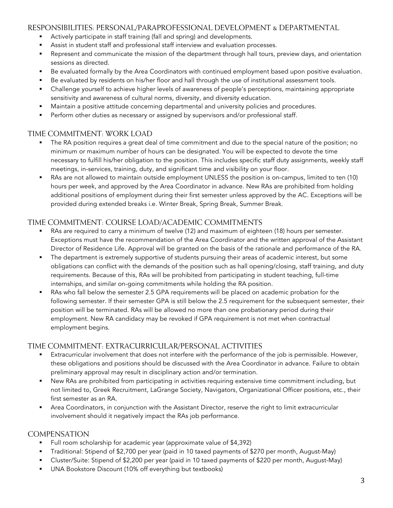#### RESPONSIBILITIES: PERSONAL/PARAPROFESSIONAL DEVELOPMENT & DEPARTMENTAL

- Actively participate in staff training (fall and spring) and developments.
- **•** Assist in student staff and professional staff interview and evaluation processes.
- Represent and communicate the mission of the department through hall tours, preview days, and orientation sessions as directed.
- Be evaluated formally by the Area Coordinators with continued employment based upon positive evaluation.
- Be evaluated by residents on his/her floor and hall through the use of institutional assessment tools.
- Challenge yourself to achieve higher levels of awareness of people's perceptions, maintaining appropriate sensitivity and awareness of cultural norms, diversity, and diversity education.
- Maintain a positive attitude concerning departmental and university policies and procedures.
- **•** Perform other duties as necessary or assigned by supervisors and/or professional staff.

#### TIME COMMITMENT: WORK LOAD

- The RA position requires a great deal of time commitment and due to the special nature of the position; no minimum or maximum number of hours can be designated. You will be expected to devote the time necessary to fulfill his/her obligation to the position. This includes specific staff duty assignments, weekly staff meetings, in-services, training, duty, and significant time and visibility on your floor.
- § RAs are not allowed to maintain outside employment UNLESS the position is on-campus, limited to ten (10) hours per week, and approved by the Area Coordinator in advance. New RAs are prohibited from holding additional positions of employment during their first semester unless approved by the AC. Exceptions will be provided during extended breaks i.e. Winter Break, Spring Break, Summer Break.

#### TIME COMMITMENT: COURSE LOAD/ACADEMIC COMMITMENTS

- RAs are required to carry a minimum of twelve (12) and maximum of eighteen (18) hours per semester. Exceptions must have the recommendation of the Area Coordinator and the written approval of the Assistant Director of Residence Life. Approval will be granted on the basis of the rationale and performance of the RA.
- **•** The department is extremely supportive of students pursuing their areas of academic interest, but some obligations can conflict with the demands of the position such as hall opening/closing, staff training, and duty requirements. Because of this, RAs will be prohibited from participating in student teaching, full-time internships, and similar on-going commitments while holding the RA position.
- RAs who fall below the semester 2.5 GPA requirements will be placed on academic probation for the following semester. If their semester GPA is still below the 2.5 requirement for the subsequent semester, their position will be terminated. RAs will be allowed no more than one probationary period during their employment. New RA candidacy may be revoked if GPA requirement is not met when contractual employment begins.

#### TIME COMMITMENT: EXTRACURRICULAR/PERSONAL ACTIVITIES

- Extracurricular involvement that does not interfere with the performance of the job is permissible. However, these obligations and positions should be discussed with the Area Coordinator in advance. Failure to obtain preliminary approval may result in disciplinary action and/or termination.
- New RAs are prohibited from participating in activities requiring extensive time commitment including, but not limited to, Greek Recruitment, LaGrange Society, Navigators, Organizational Officer positions, etc., their first semester as an RA.
- Area Coordinators, in conjunction with the Assistant Director, reserve the right to limit extracurricular involvement should it negatively impact the RAs job performance.

#### **COMPENSATION**

- § Full room scholarship for academic year (approximate value of \$4,392)
- § Traditional: Stipend of \$2,700 per year (paid in 10 taxed payments of \$270 per month, August-May)
- Cluster/Suite: Stipend of \$2,200 per year (paid in 10 taxed payments of \$220 per month, August-May)
- § UNA Bookstore Discount (10% off everything but textbooks)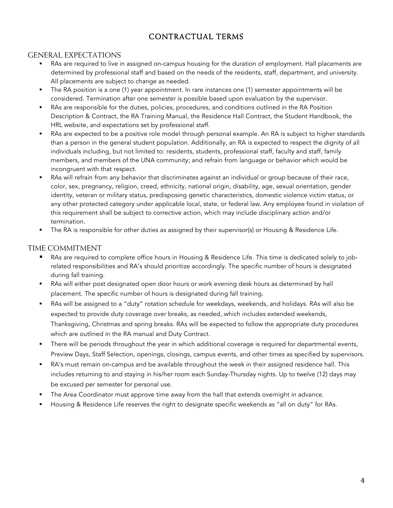# CONTRACTUAL TERMS

#### GENERAL EXPECTATIONS

- RAs are required to live in assigned on-campus housing for the duration of employment. Hall placements are determined by professional staff and based on the needs of the residents, staff, department, and university. All placements are subject to change as needed.
- § The RA position is a one (1) year appointment. In rare instances one (1) semester appointments will be considered. Termination after one semester is possible based upon evaluation by the supervisor.
- RAs are responsible for the duties, policies, procedures, and conditions outlined in the RA Position Description & Contract, the RA Training Manual, the Residence Hall Contract, the Student Handbook, the HRL website, and expectations set by professional staff.
- RAs are expected to be a positive role model through personal example. An RA is subject to higher standards than a person in the general student population. Additionally, an RA is expected to respect the dignity of all individuals including, but not limited to: residents, students, professional staff, faculty and staff, family members, and members of the UNA community; and refrain from language or behavior which would be incongruent with that respect.
- RAs will refrain from any behavior that discriminates against an individual or group because of their race, color, sex, pregnancy, religion, creed, ethnicity, national origin, disability, age, sexual orientation, gender identity, veteran or military status, predisposing genetic characteristics, domestic violence victim status, or any other protected category under applicable local, state, or federal law. Any employee found in violation of this requirement shall be subject to corrective action, which may include disciplinary action and/or termination.
- The RA is responsible for other duties as assigned by their supervisor(s) or Housing & Residence Life.

#### TIME COMMITMENT

- RAs are required to complete office hours in Housing & Residence Life. This time is dedicated solely to jobrelated responsibilities and RA's should prioritize accordingly. The specific number of hours is designated during fall training.
- RAs will either post designated open door hours or work evening desk hours as determined by hall placement. The specific number of hours is designated during fall training.
- § RAs will be assigned to a "duty" rotation schedule for weekdays, weekends, and holidays. RAs will also be expected to provide duty coverage over breaks, as needed, which includes extended weekends, Thanksgiving, Christmas and spring breaks. RAs will be expected to follow the appropriate duty procedures which are outlined in the RA manual and Duty Contract.
- **•** There will be periods throughout the year in which additional coverage is required for departmental events, Preview Days, Staff Selection, openings, closings, campus events, and other times as specified by supervisors.
- § RA's must remain on-campus and be available throughout the week in their assigned residence hall. This includes returning to and staying in his/her room each Sunday-Thursday nights. Up to twelve (12) days may be excused per semester for personal use.
- The Area Coordinator must approve time away from the hall that extends overnight in advance.
- § Housing & Residence Life reserves the right to designate specific weekends as "all on duty" for RAs.